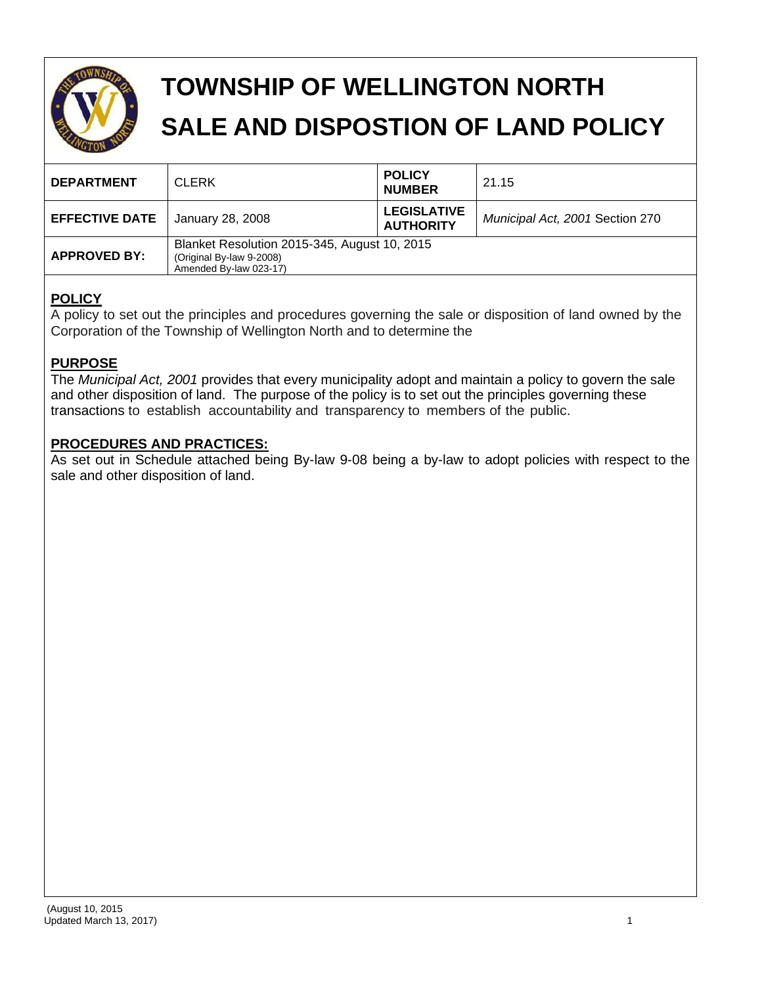

# **TOWNSHIP OF WELLINGTON NORTH SALE AND DISPOSTION OF LAND POLICY**

| <b>DEPARTMENT</b>     | <b>CLERK</b>                                                                                       | <b>POLICY</b><br><b>NUMBER</b>         | 21.15                           |
|-----------------------|----------------------------------------------------------------------------------------------------|----------------------------------------|---------------------------------|
| <b>EFFECTIVE DATE</b> | January 28, 2008                                                                                   | <b>LEGISLATIVE</b><br><b>AUTHORITY</b> | Municipal Act, 2001 Section 270 |
| <b>APPROVED BY:</b>   | Blanket Resolution 2015-345, August 10, 2015<br>(Original By-law 9-2008)<br>Amended By-law 023-17) |                                        |                                 |

# **POLICY**

A policy to set out the principles and procedures governing the sale or disposition of land owned by the Corporation of the Township of Wellington North and to determine the

# **PURPOSE**

The *Municipal Act, 2001* provides that every municipality adopt and maintain a policy to govern the sale and other disposition of land. The purpose of the policy is to set out the principles governing these transactions to establish accountability and transparency to members of the public.

# **PROCEDURES AND PRACTICES:**

As set out in Schedule attached being By-law 9-08 being a by-law to adopt policies with respect to the sale and other disposition of land.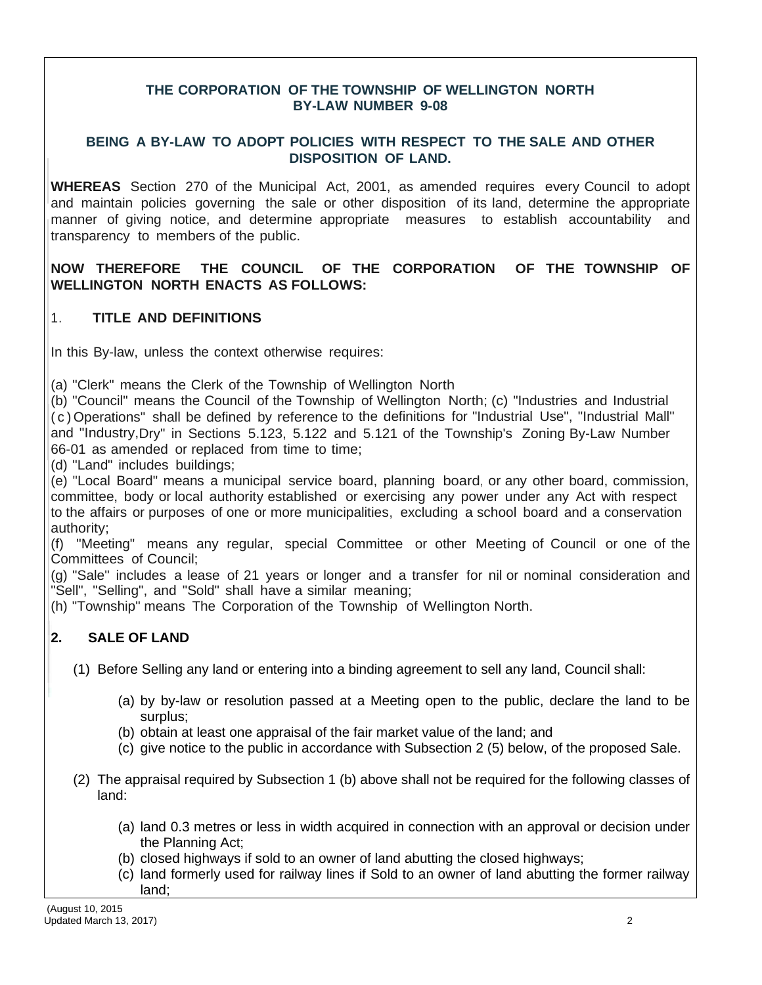#### **THE CORPORATION OF THE TOWNSHIP OF WELLINGTON NORTH BY-LAW NUMBER 9-08**

#### **BEING A BY-LAW TO ADOPT POLICIES WITH RESPECT TO THE SALE AND OTHER DISPOSITION OF LAND.**

**WHEREAS** Section 270 of the Municipal Act, 2001, as amended requires every Council to adopt and maintain policies governing the sale or other disposition of its land, determine the appropriate manner of giving notice, and determine appropriate measures to establish accountability and transparency to members of the public.

**NOW THEREFORE THE COUNCIL OF THE CORPORATION OF THE TOWNSHIP OF WELLINGTON NORTH ENACTS AS FOLLOWS:**

### 1. **TITLE AND DEFINITIONS**

In this By-law, unless the context otherwise requires:

(a) "Clerk" means the Clerk of the Township of Wellington North

(b) "Council" means the Council of the Township of Wellington North; (c) "Industries and Industrial ( c ) Operations" shall be defined by reference to the definitions for "Industrial Use", "Industrial Mall" and "Industry,Dry" in Sections 5.123, 5.122 and 5.121 of the Township's Zoning By-Law Number 66-01 as amended or replaced from time to time;

(d) "Land" includes buildings;

(e) "Local Board" means a municipal service board, planning board, or any other board, commission, committee, body or local authority established or exercising any power under any Act with respect to the affairs or purposes of one or more municipalities, excluding a school board and a conservation authority;

(f) "Meeting" means any regular, special Committee or other Meeting of Council or one of the Committees of Council;

(g) "Sale" includes a lease of 21 years or longer and a transfer for nil or nominal consideration and "Sell", "Selling", and "Sold" shall have a similar meaning;

(h) "Township" means The Corporation of the Township of Wellington North.

## **2. SALE OF LAND**

(1) Before Selling any land or entering into a binding agreement to sell any land, Council shall:

- (a) by by-law or resolution passed at a Meeting open to the public, declare the land to be surplus;
- (b) obtain at least one appraisal of the fair market value of the land; and
- (c) give notice to the public in accordance with Subsection 2 (5) below, of the proposed Sale.
- (2) The appraisal required by Subsection 1 (b) above shall not be required for the following classes of land:
	- (a) land 0.3 metres or less in width acquired in connection with an approval or decision under the Planning Act;
	- (b) closed highways if sold to an owner of land abutting the closed highways;
	- (c) land formerly used for railway lines if Sold to an owner of land abutting the former railway land;